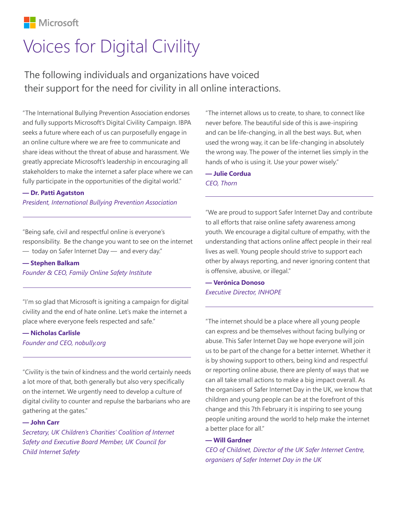

# Voices for Digital Civility

The following individuals and organizations have voiced their support for the need for civility in all online interactions.

"The International Bullying Prevention Association endorses and fully supports Microsoft's Digital Civility Campaign. IBPA seeks a future where each of us can purposefully engage in an online culture where we are free to communicate and share ideas without the threat of abuse and harassment. We greatly appreciate Microsoft's leadership in encouraging all stakeholders to make the internet a safer place where we can fully participate in the opportunities of the digital world."

## **— Dr. Patti Agatston**

*President, International Bullying Prevention Association*

"Being safe, civil and respectful online is everyone's responsibility. Be the change you want to see on the internet — today on Safer Internet Day — and every day."

**— Stephen Balkam**

*Founder & CEO, Family Online Safety Institute*

"I'm so glad that Microsoft is igniting a campaign for digital civility and the end of hate online. Let's make the internet a place where everyone feels respected and safe."

## **— Nicholas Carlisle**

*Founder and CEO, nobully.org*

"Civility is the twin of kindness and the world certainly needs a lot more of that, both generally but also very specifically on the internet. We urgently need to develop a culture of digital civility to counter and repulse the barbarians who are gathering at the gates."

### **— John Carr**

*Secretary, UK Children's Charities' Coalition of Internet Safety and Executive Board Member, UK Council for Child Internet Safety*

"The internet allows us to create, to share, to connect like never before. The beautiful side of this is awe-inspiring and can be life-changing, in all the best ways. But, when used the wrong way, it can be life-changing in absolutely the wrong way. The power of the internet lies simply in the hands of who is using it. Use your power wisely."

**— Julie Cordua** *CEO, Thorn*

"We are proud to support Safer Internet Day and contribute to all efforts that raise online safety awareness among youth. We encourage a digital culture of empathy, with the understanding that actions online affect people in their real lives as well. Young people should strive to support each other by always reporting, and never ignoring content that is offensive, abusive, or illegal."

**— Verónica Donoso** *Executive Director, INHOPE*

"The internet should be a place where all young people can express and be themselves without facing bullying or abuse. This Safer Internet Day we hope everyone will join us to be part of the change for a better internet. Whether it is by showing support to others, being kind and respectful or reporting online abuse, there are plenty of ways that we can all take small actions to make a big impact overall. As the organisers of Safer Internet Day in the UK, we know that children and young people can be at the forefront of this change and this 7th February it is inspiring to see young people uniting around the world to help make the internet a better place for all."

### **— Will Gardner**

*CEO of Childnet, Director of the UK Safer Internet Centre, organisers of Safer Internet Day in the UK*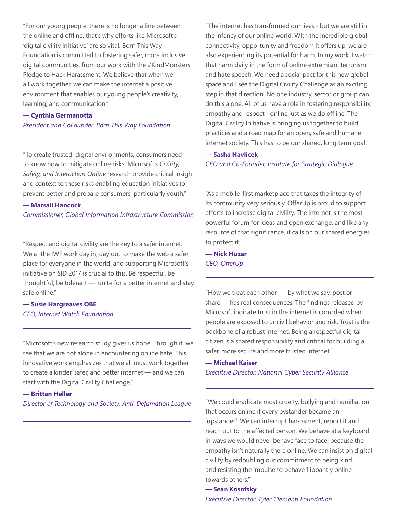"For our young people, there is no longer a line between the online and offline, that's why efforts like Microsoft's 'digital civility initiative' are so vital. Born This Way Foundation is committed to fostering safer, more inclusive digital communities, from our work with the #KindMonsters Pledge to Hack Harassment. We believe that when we all work together, we can make the internet a positive environment that enables our young people's creativity, learning, and communication."

## **— Cynthia Germanotta**

### *President and CoFounder, Born This Way Foundation*

"To create trusted, digital environments, consumers need to know how to mitigate online risks. Microsoft's *Civility, Safety, and Interaction Online* research provide critical insight and context to these risks enabling education initiatives to prevent better and prepare consumers, particularly youth."

## **— Marsali Hancock**

*Commissioner, Global Information Infrastructure Commission*

"Respect and digital civility are the key to a safer internet. We at the IWF work day in, day out to make the web a safer place for everyone in the world, and supporting Microsoft's initiative on SID 2017 is crucial to this. Be respectful, be thoughtful, be tolerant — unite for a better internet and stay safe online."

# **— Susie Hargreaves OBE** *CEO, Internet Watch Foundation*

"Microsoft's new research study gives us hope. Through it, we see that we are not alone in encountering online hate. This innovative work emphasizes that we all must work together to create a kinder, safer, and better internet — and we can start with the Digital Civility Challenge."

## **— Brittan Heller**

*Director of Technology and Society, Anti-Defamation League*

"The internet has transformed our lives - but we are still in the infancy of our online world. With the incredible global connectivity, opportunity and freedom it offers up, we are also experiencing its potential for harm. In my work, I watch that harm daily in the form of online extremism, terrorism and hate speech. We need a social pact for this new global space and I see the Digital Civility Challenge as an exciting step in that direction. No one industry, sector or group can do this alone. All of us have a role in fostering responsibility, empathy and respect - online just as we do offline. The Digital Civility Initiative is bringing us together to build practices and a road map for an open, safe and humane internet society. This has to be our shared, long term goal."

### **— Sasha Havlicek**

*CEO and Co-Founder, Institute for Strategic Dialogue*

"As a mobile-first marketplace that takes the integrity of its community very seriously, OfferUp is proud to support efforts to increase digital civility. The internet is the most powerful forum for ideas and open exchange, and like any resource of that significance, it calls on our shared energies to protect it."

**— Nick Huzar** *CEO, OfferUp*

"How we treat each other — by what we say, post or share — has real consequences. The findings released by Microsoft indicate trust in the internet is corroded when people are exposed to uncivil behavior and risk. Trust is the backbone of a robust internet. Being a respectful digital citizen is a shared responsibility and critical for building a safer, more secure and more trusted internet."

**— Michael Kaiser** *Executive Director, National Cyber Security Alliance*

"We could eradicate most cruelty, bullying and humiliation that occurs online if every bystander became an 'upstander'. We can interrupt harassment, report it and reach out to the affected person. We behave at a keyboard in ways we would never behave face to face, because the empathy isn't naturally there online. We can insist on digital civility by redoubling our commitment to being kind, and resisting the impulse to behave flippantly online towards others."

**— Sean Kosofsky** *Executive Director, Tyler Clementi Foundation*